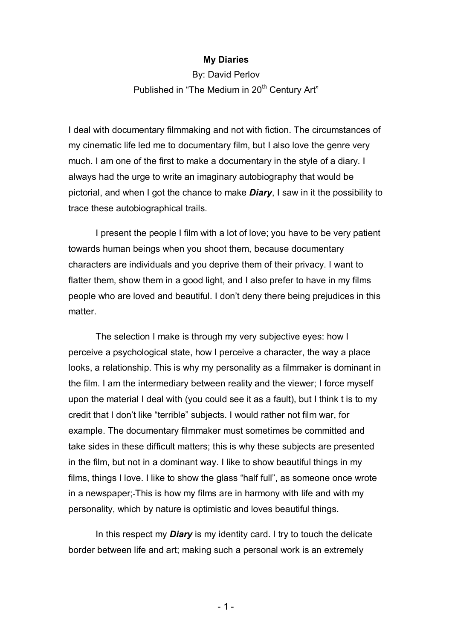## **My Diaries**

By: David Perlov Published in "The Medium in 20<sup>th</sup> Century Art"

I deal with documentary filmmaking and not with fiction. The circumstances of my cinematic life led me to documentary film, but I also love the genre very much. I am one of the first to make a documentary in the style of a diary. I always had the urge to write an imaginary autobiography that would be pictorial, and when I got the chance to make *Diary*, I saw in it the possibility to trace these autobiographical trails.

I present the people I film with a lot of love; you have to be very patient towards human beings when you shoot them, because documentary characters are individuals and you deprive them of their privacy. I want to flatter them, show them in a good light, and I also prefer to have in my films people who are loved and beautiful. I don't deny there being prejudices in this matter.

The selection I make is through my very subjective eyes: how I perceive a psychological state, how I perceive a character, the way a place looks, a relationship. This is why my personality as a filmmaker is dominant in the film. I am the intermediary between reality and the viewer; I force myself upon the material I deal with (you could see it as a fault), but I think t is to my credit that I don't like "terrible" subjects. I would rather not film war, for example. The documentary filmmaker must sometimes be committed and take sides in these difficult matters; this is why these subjects are presented in the film, but not in a dominant way. I like to show beautiful things in my films, things I love. I like to show the glass "half full", as someone once wrote in a newspaper; This is how my films are in harmony with life and with my personality, which by nature is optimistic and loves beautiful things.

In this respect my *Diary* is my identity card. I try to touch the delicate border between life and art; making such a personal work is an extremely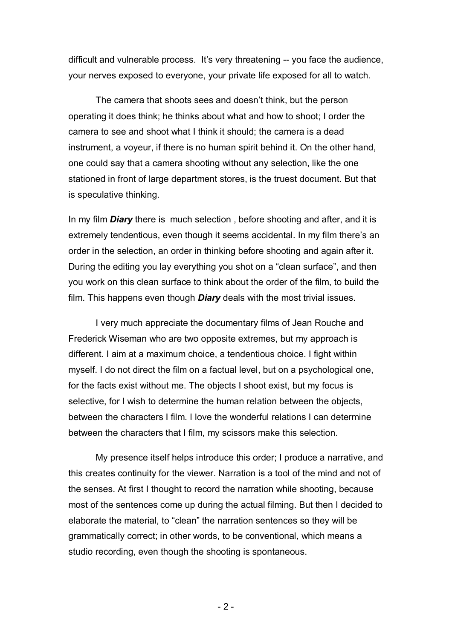difficult and vulnerable process. It's very threatening -- you face the audience, your nerves exposed to everyone, your private life exposed for all to watch.

The camera that shoots sees and doesn't think, but the person operating it does think; he thinks about what and how to shoot; I order the camera to see and shoot what I think it should; the camera is a dead instrument, a voyeur, if there is no human spirit behind it. On the other hand, one could say that a camera shooting without any selection, like the one stationed in front of large department stores, is the truest document. But that is speculative thinking.

In my film *Diary* there is much selection , before shooting and after, and it is extremely tendentious, even though it seems accidental. In my film there's an order in the selection, an order in thinking before shooting and again after it. During the editing you lay everything you shot on a "clean surface", and then you work on this clean surface to think about the order of the film, to build the film. This happens even though *Diary* deals with the most trivial issues.

I very much appreciate the documentary films of Jean Rouche and Frederick Wiseman who are two opposite extremes, but my approach is different. I aim at a maximum choice, a tendentious choice. I fight within myself. I do not direct the film on a factual level, but on a psychological one, for the facts exist without me. The objects I shoot exist, but my focus is selective, for I wish to determine the human relation between the objects, between the characters I film. I love the wonderful relations I can determine between the characters that I film, my scissors make this selection.

My presence itself helps introduce this order; I produce a narrative, and this creates continuity for the viewer. Narration is a tool of the mind and not of the senses. At first I thought to record the narration while shooting, because most of the sentences come up during the actual filming. But then I decided to elaborate the material, to "clean" the narration sentences so they will be grammatically correct; in other words, to be conventional, which means a studio recording, even though the shooting is spontaneous.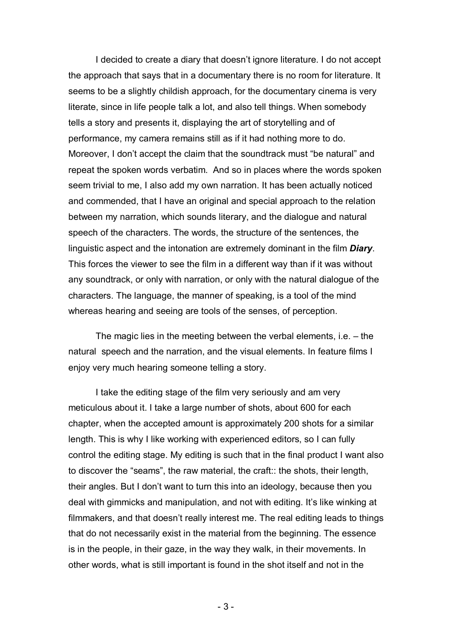I decided to create a diary that doesn't ignore literature. I do not accept the approach that says that in a documentary there is no room for literature. It seems to be a slightly childish approach, for the documentary cinema is very literate, since in life people talk a lot, and also tell things. When somebody tells a story and presents it, displaying the art of storytelling and of performance, my camera remains still as if it had nothing more to do. Moreover, I don't accept the claim that the soundtrack must "be natural" and repeat the spoken words verbatim. And so in places where the words spoken seem trivial to me, I also add my own narration. It has been actually noticed and commended, that I have an original and special approach to the relation between my narration, which sounds literary, and the dialogue and natural speech of the characters. The words, the structure of the sentences, the linguistic aspect and the intonation are extremely dominant in the film *Diary*. This forces the viewer to see the film in a different way than if it was without any soundtrack, or only with narration, or only with the natural dialogue of the characters. The language, the manner of speaking, is a tool of the mind whereas hearing and seeing are tools of the senses, of perception.

The magic lies in the meeting between the verbal elements, i.e. – the natural speech and the narration, and the visual elements. In feature films I enjoy very much hearing someone telling a story.

I take the editing stage of the film very seriously and am very meticulous about it. I take a large number of shots, about 600 for each chapter, when the accepted amount is approximately 200 shots for a similar length. This is why I like working with experienced editors, so I can fully control the editing stage. My editing is such that in the final product I want also to discover the "seams", the raw material, the craft:: the shots, their length, their angles. But I don't want to turn this into an ideology, because then you deal with gimmicks and manipulation, and not with editing. It's like winking at filmmakers, and that doesn't really interest me. The real editing leads to things that do not necessarily exist in the material from the beginning. The essence is in the people, in their gaze, in the way they walk, in their movements. In other words, what is still important is found in the shot itself and not in the